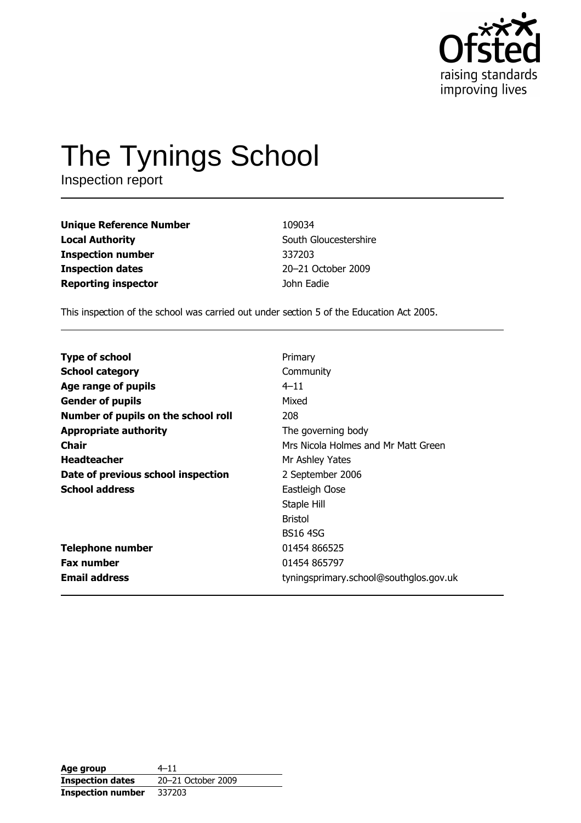

# The Tynings School

Inspection report

**Unique Reference Number Local Authority Inspection number Inspection dates Reporting inspector** 

109034 South Gloucestershire 337203 20-21 October 2009 John Eadie

This inspection of the school was carried out under section 5 of the Education Act 2005.

| <b>Type of school</b>               | Primary                                |
|-------------------------------------|----------------------------------------|
| <b>School category</b>              | Community                              |
| Age range of pupils                 | $4 - 11$                               |
| <b>Gender of pupils</b>             | Mixed                                  |
| Number of pupils on the school roll | 208                                    |
| <b>Appropriate authority</b>        | The governing body                     |
| Chair                               | Mrs Nicola Holmes and Mr Matt Green    |
| <b>Headteacher</b>                  | Mr Ashley Yates                        |
| Date of previous school inspection  | 2 September 2006                       |
| <b>School address</b>               | Eastleigh Gose                         |
|                                     | Staple Hill                            |
|                                     | <b>Bristol</b>                         |
|                                     | <b>BS16 4SG</b>                        |
| <b>Telephone number</b>             | 01454 866525                           |
| <b>Fax number</b>                   | 01454 865797                           |
| <b>Email address</b>                | tyningsprimary.school@southglos.gov.uk |
|                                     |                                        |

| Age group                | $4 - 11$           |
|--------------------------|--------------------|
| <b>Inspection dates</b>  | 20-21 October 2009 |
| <b>Inspection number</b> | 337203             |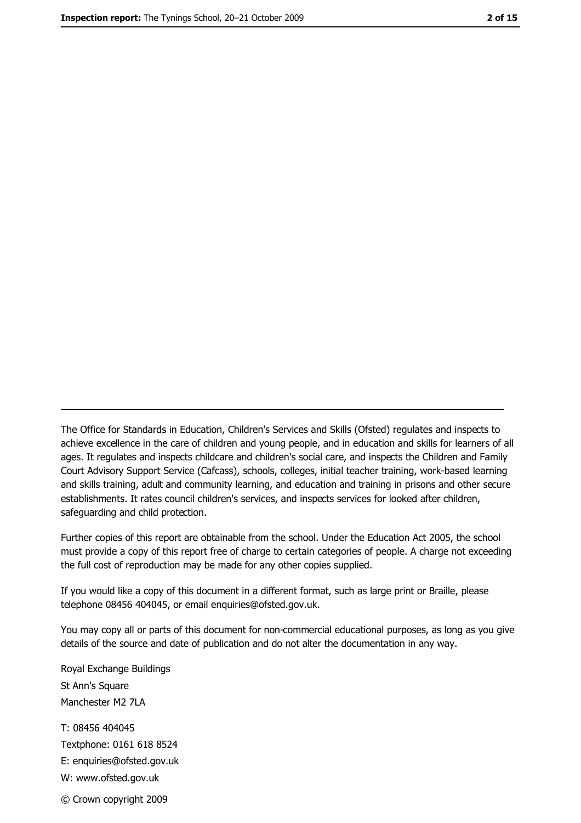The Office for Standards in Education, Children's Services and Skills (Ofsted) regulates and inspects to achieve excellence in the care of children and young people, and in education and skills for learners of all ages. It regulates and inspects childcare and children's social care, and inspects the Children and Family Court Advisory Support Service (Cafcass), schools, colleges, initial teacher training, work-based learning and skills training, adult and community learning, and education and training in prisons and other secure establishments. It rates council children's services, and inspects services for looked after children, safequarding and child protection.

Further copies of this report are obtainable from the school. Under the Education Act 2005, the school must provide a copy of this report free of charge to certain categories of people. A charge not exceeding the full cost of reproduction may be made for any other copies supplied.

If you would like a copy of this document in a different format, such as large print or Braille, please telephone 08456 404045, or email enquiries@ofsted.gov.uk.

You may copy all or parts of this document for non-commercial educational purposes, as long as you give details of the source and date of publication and do not alter the documentation in any way.

Royal Exchange Buildings St Ann's Square Manchester M2 7LA T: 08456 404045 Textphone: 0161 618 8524 E: enquiries@ofsted.gov.uk W: www.ofsted.gov.uk © Crown copyright 2009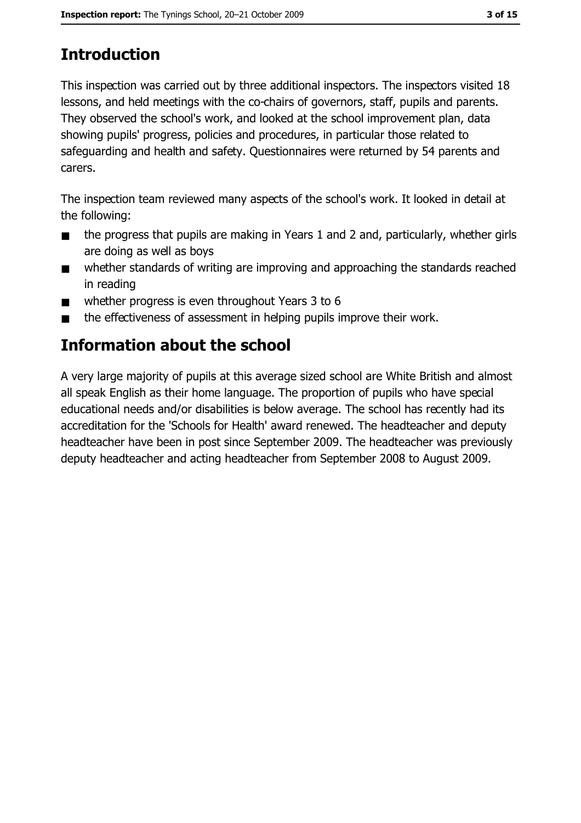# **Introduction**

This inspection was carried out by three additional inspectors. The inspectors visited 18 lessons, and held meetings with the co-chairs of governors, staff, pupils and parents. They observed the school's work, and looked at the school improvement plan, data showing pupils' progress, policies and procedures, in particular those related to safeguarding and health and safety. Questionnaires were returned by 54 parents and carers.

The inspection team reviewed many aspects of the school's work. It looked in detail at the following:

- the progress that pupils are making in Years 1 and 2 and, particularly, whether girls  $\blacksquare$ are doing as well as boys
- whether standards of writing are improving and approaching the standards reached  $\blacksquare$ in reading
- whether progress is even throughout Years 3 to 6  $\blacksquare$
- the effectiveness of assessment in helping pupils improve their work.

# Information about the school

A very large majority of pupils at this average sized school are White British and almost all speak English as their home language. The proportion of pupils who have special educational needs and/or disabilities is below average. The school has recently had its accreditation for the 'Schools for Health' award renewed. The headteacher and deputy headteacher have been in post since September 2009. The headteacher was previously deputy headteacher and acting headteacher from September 2008 to August 2009.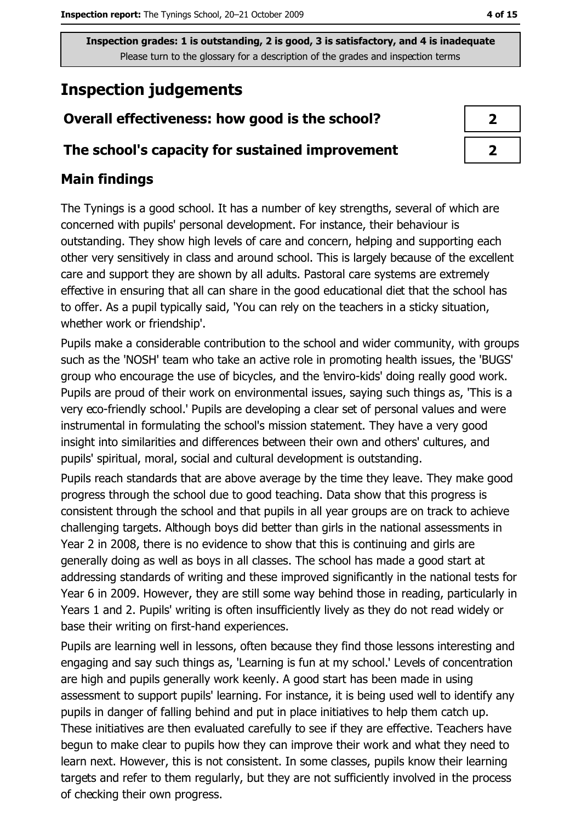# **Inspection judgements**

## Overall effectiveness: how good is the school?

#### The school's capacity for sustained improvement

### **Main findings**

The Tynings is a good school. It has a number of key strengths, several of which are concerned with pupils' personal development. For instance, their behaviour is outstanding. They show high levels of care and concern, helping and supporting each other very sensitively in class and around school. This is largely because of the excellent care and support they are shown by all adults. Pastoral care systems are extremely effective in ensuring that all can share in the good educational diet that the school has to offer. As a pupil typically said, 'You can rely on the teachers in a sticky situation, whether work or friendship'.

Pupils make a considerable contribution to the school and wider community, with groups such as the 'NOSH' team who take an active role in promoting health issues, the 'BUGS' group who encourage the use of bicycles, and the 'enviro-kids' doing really good work. Pupils are proud of their work on environmental issues, saying such things as, 'This is a very eco-friendly school.' Pupils are developing a clear set of personal values and were instrumental in formulating the school's mission statement. They have a very good insight into similarities and differences between their own and others' cultures, and pupils' spiritual, moral, social and cultural development is outstanding.

Pupils reach standards that are above average by the time they leave. They make good progress through the school due to good teaching. Data show that this progress is consistent through the school and that pupils in all year groups are on track to achieve challenging targets. Although boys did better than girls in the national assessments in Year 2 in 2008, there is no evidence to show that this is continuing and girls are generally doing as well as boys in all classes. The school has made a good start at addressing standards of writing and these improved significantly in the national tests for Year 6 in 2009. However, they are still some way behind those in reading, particularly in Years 1 and 2. Pupils' writing is often insufficiently lively as they do not read widely or base their writing on first-hand experiences.

Pupils are learning well in lessons, often because they find those lessons interesting and engaging and say such things as, 'Learning is fun at my school.' Levels of concentration are high and pupils generally work keenly. A good start has been made in using assessment to support pupils' learning. For instance, it is being used well to identify any pupils in danger of falling behind and put in place initiatives to help them catch up. These initiatives are then evaluated carefully to see if they are effective. Teachers have begun to make clear to pupils how they can improve their work and what they need to learn next. However, this is not consistent. In some classes, pupils know their learning targets and refer to them regularly, but they are not sufficiently involved in the process of checking their own progress.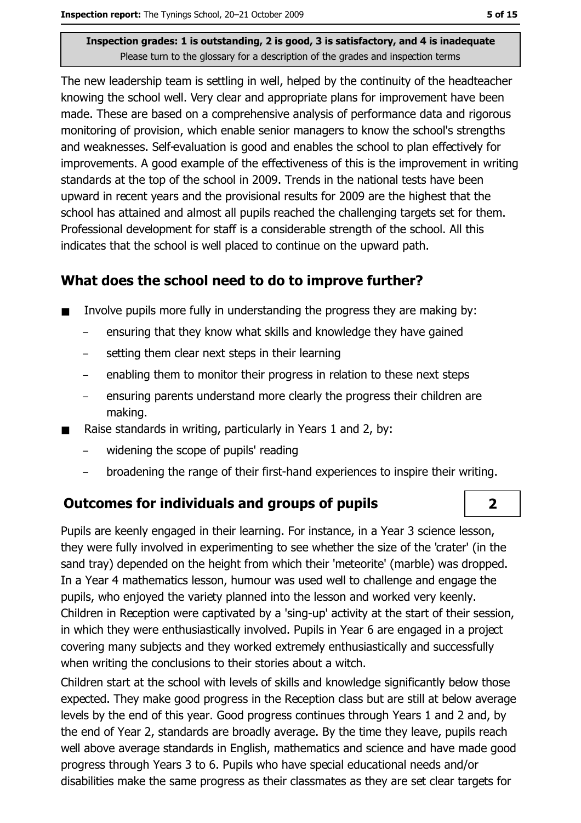The new leadership team is settling in well, helped by the continuity of the headteacher knowing the school well. Very clear and appropriate plans for improvement have been made. These are based on a comprehensive analysis of performance data and rigorous monitoring of provision, which enable senior managers to know the school's strengths and weaknesses. Self-evaluation is good and enables the school to plan effectively for improvements. A good example of the effectiveness of this is the improvement in writing standards at the top of the school in 2009. Trends in the national tests have been upward in recent years and the provisional results for 2009 are the highest that the school has attained and almost all pupils reached the challenging targets set for them. Professional development for staff is a considerable strength of the school. All this indicates that the school is well placed to continue on the upward path.

### What does the school need to do to improve further?

- Involve pupils more fully in understanding the progress they are making by:  $\blacksquare$ 
	- ensuring that they know what skills and knowledge they have gained
	- setting them clear next steps in their learning
	- enabling them to monitor their progress in relation to these next steps  $\overline{\phantom{m}}$
	- ensuring parents understand more clearly the progress their children are making.
- Raise standards in writing, particularly in Years 1 and 2, by:
	- widening the scope of pupils' reading
	- broadening the range of their first-hand experiences to inspire their writing.

#### **Outcomes for individuals and groups of pupils**

Pupils are keenly engaged in their learning. For instance, in a Year 3 science lesson, they were fully involved in experimenting to see whether the size of the 'crater' (in the sand tray) depended on the height from which their 'meteorite' (marble) was dropped. In a Year 4 mathematics lesson, humour was used well to challenge and engage the pupils, who enjoved the variety planned into the lesson and worked very keenly. Children in Reception were captivated by a 'sing-up' activity at the start of their session, in which they were enthusiastically involved. Pupils in Year 6 are engaged in a project covering many subjects and they worked extremely enthusiastically and successfully when writing the conclusions to their stories about a witch.

Children start at the school with levels of skills and knowledge significantly below those expected. They make good progress in the Reception class but are still at below average levels by the end of this year. Good progress continues through Years 1 and 2 and, by the end of Year 2, standards are broadly average. By the time they leave, pupils reach well above average standards in English, mathematics and science and have made good progress through Years 3 to 6. Pupils who have special educational needs and/or disabilities make the same progress as their classmates as they are set clear targets for

 $\overline{2}$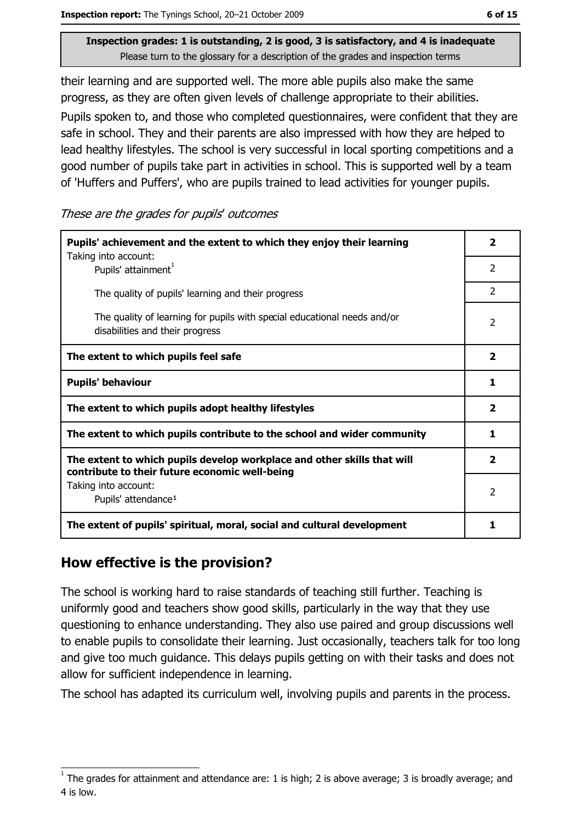their learning and are supported well. The more able pupils also make the same progress, as they are often given levels of challenge appropriate to their abilities.

Pupils spoken to, and those who completed questionnaires, were confident that they are safe in school. They and their parents are also impressed with how they are helped to lead healthy lifestyles. The school is very successful in local sporting competitions and a good number of pupils take part in activities in school. This is supported well by a team of 'Huffers and Puffers', who are pupils trained to lead activities for younger pupils.

These are the grades for pupils' outcomes

| Pupils' achievement and the extent to which they enjoy their learning                                                     |                |
|---------------------------------------------------------------------------------------------------------------------------|----------------|
| Taking into account:<br>Pupils' attainment <sup>1</sup>                                                                   | 2              |
| The quality of pupils' learning and their progress                                                                        | $\overline{2}$ |
| The quality of learning for pupils with special educational needs and/or<br>disabilities and their progress               | $\overline{2}$ |
| The extent to which pupils feel safe                                                                                      |                |
| <b>Pupils' behaviour</b>                                                                                                  |                |
| The extent to which pupils adopt healthy lifestyles                                                                       |                |
| The extent to which pupils contribute to the school and wider community                                                   |                |
| The extent to which pupils develop workplace and other skills that will<br>contribute to their future economic well-being |                |
| Taking into account:<br>Pupils' attendance <sup>1</sup>                                                                   |                |
| The extent of pupils' spiritual, moral, social and cultural development                                                   |                |

#### How effective is the provision?

The school is working hard to raise standards of teaching still further. Teaching is uniformly good and teachers show good skills, particularly in the way that they use questioning to enhance understanding. They also use paired and group discussions well to enable pupils to consolidate their learning. Just occasionally, teachers talk for too long and give too much guidance. This delays pupils getting on with their tasks and does not allow for sufficient independence in learning.

The school has adapted its curriculum well, involving pupils and parents in the process.

The grades for attainment and attendance are: 1 is high; 2 is above average; 3 is broadly average; and 4 is low.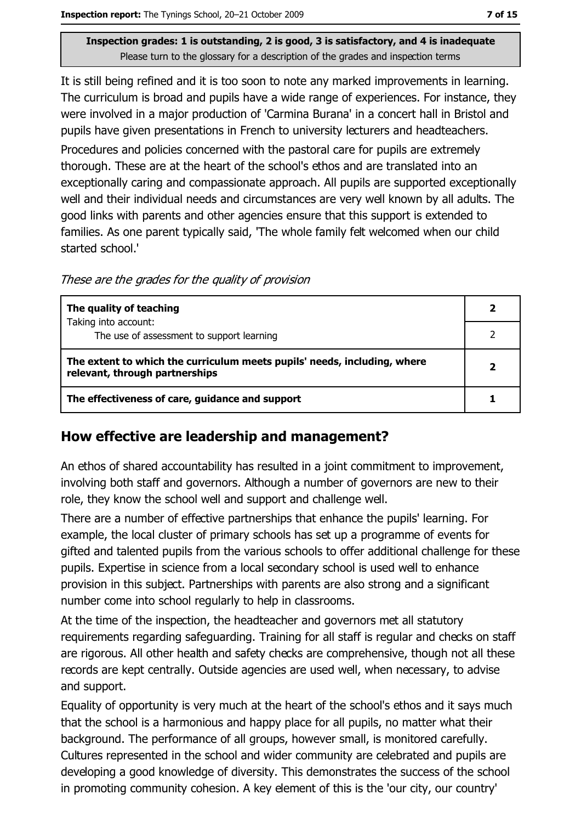It is still being refined and it is too soon to note any marked improvements in learning. The curriculum is broad and pupils have a wide range of experiences. For instance, they were involved in a major production of 'Carmina Burana' in a concert hall in Bristol and pupils have given presentations in French to university lecturers and headteachers. Procedures and policies concerned with the pastoral care for pupils are extremely thorough. These are at the heart of the school's ethos and are translated into an exceptionally caring and compassionate approach. All pupils are supported exceptionally well and their individual needs and circumstances are very well known by all adults. The good links with parents and other agencies ensure that this support is extended to families. As one parent typically said, 'The whole family felt welcomed when our child started school.'

These are the grades for the quality of provision

| The quality of teaching                                                                                    |  |
|------------------------------------------------------------------------------------------------------------|--|
| Taking into account:<br>The use of assessment to support learning                                          |  |
| The extent to which the curriculum meets pupils' needs, including, where<br>relevant, through partnerships |  |
| The effectiveness of care, guidance and support                                                            |  |

## How effective are leadership and management?

An ethos of shared accountability has resulted in a joint commitment to improvement, involving both staff and governors. Although a number of governors are new to their role, they know the school well and support and challenge well.

There are a number of effective partnerships that enhance the pupils' learning. For example, the local cluster of primary schools has set up a programme of events for gifted and talented pupils from the various schools to offer additional challenge for these pupils. Expertise in science from a local secondary school is used well to enhance provision in this subject. Partnerships with parents are also strong and a significant number come into school regularly to help in classrooms.

At the time of the inspection, the headteacher and governors met all statutory requirements regarding safeguarding. Training for all staff is regular and checks on staff are rigorous. All other health and safety checks are comprehensive, though not all these records are kept centrally. Outside agencies are used well, when necessary, to advise and support.

Equality of opportunity is very much at the heart of the school's ethos and it says much that the school is a harmonious and happy place for all pupils, no matter what their background. The performance of all groups, however small, is monitored carefully. Cultures represented in the school and wider community are celebrated and pupils are developing a good knowledge of diversity. This demonstrates the success of the school in promoting community cohesion. A key element of this is the 'our city, our country'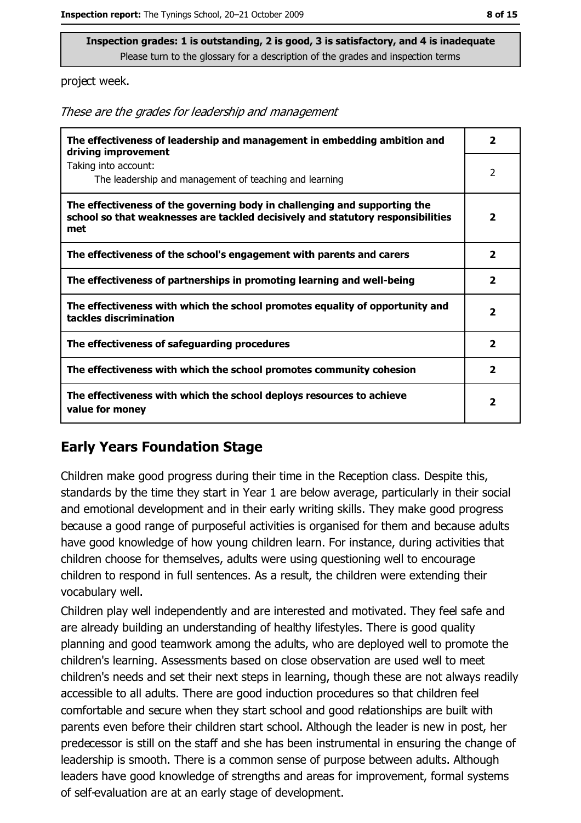project week.

These are the grades for leadership and management

| The effectiveness of leadership and management in embedding ambition and<br>driving improvement                                                                     |                         |
|---------------------------------------------------------------------------------------------------------------------------------------------------------------------|-------------------------|
| Taking into account:<br>The leadership and management of teaching and learning                                                                                      | 2                       |
| The effectiveness of the governing body in challenging and supporting the<br>school so that weaknesses are tackled decisively and statutory responsibilities<br>met |                         |
| The effectiveness of the school's engagement with parents and carers                                                                                                | $\overline{\mathbf{2}}$ |
| The effectiveness of partnerships in promoting learning and well-being                                                                                              | $\overline{\mathbf{2}}$ |
| The effectiveness with which the school promotes equality of opportunity and<br>tackles discrimination                                                              | $\overline{\mathbf{2}}$ |
| The effectiveness of safeguarding procedures                                                                                                                        | $\overline{2}$          |
| The effectiveness with which the school promotes community cohesion                                                                                                 | $\overline{2}$          |
| The effectiveness with which the school deploys resources to achieve<br>value for money                                                                             |                         |

#### **Early Years Foundation Stage**

Children make good progress during their time in the Reception class. Despite this, standards by the time they start in Year 1 are below average, particularly in their social and emotional development and in their early writing skills. They make good progress because a good range of purposeful activities is organised for them and because adults have good knowledge of how young children learn. For instance, during activities that children choose for themselves, adults were using questioning well to encourage children to respond in full sentences. As a result, the children were extending their vocabulary well.

Children play well independently and are interested and motivated. They feel safe and are already building an understanding of healthy lifestyles. There is good quality planning and good teamwork among the adults, who are deployed well to promote the children's learning. Assessments based on close observation are used well to meet children's needs and set their next steps in learning, though these are not always readily accessible to all adults. There are good induction procedures so that children feel comfortable and secure when they start school and good relationships are built with parents even before their children start school. Although the leader is new in post, her predecessor is still on the staff and she has been instrumental in ensuring the change of leadership is smooth. There is a common sense of purpose between adults. Although leaders have good knowledge of strengths and areas for improvement, formal systems of self-evaluation are at an early stage of development.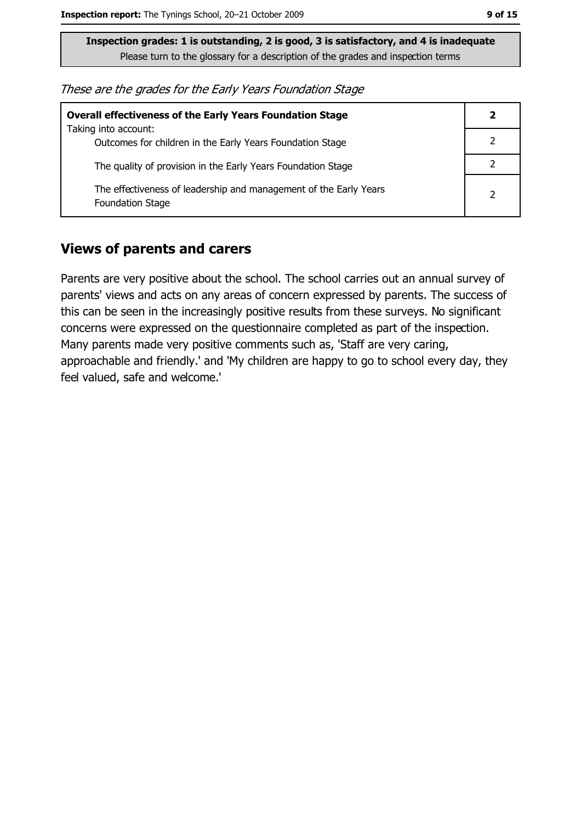These are the grades for the Early Years Foundation Stage

| <b>Overall effectiveness of the Early Years Foundation Stage</b>                             |   |
|----------------------------------------------------------------------------------------------|---|
| Taking into account:<br>Outcomes for children in the Early Years Foundation Stage            |   |
| The quality of provision in the Early Years Foundation Stage                                 |   |
| The effectiveness of leadership and management of the Early Years<br><b>Foundation Stage</b> | 2 |

#### **Views of parents and carers**

Parents are very positive about the school. The school carries out an annual survey of parents' views and acts on any areas of concern expressed by parents. The success of this can be seen in the increasingly positive results from these surveys. No significant concerns were expressed on the questionnaire completed as part of the inspection. Many parents made very positive comments such as, 'Staff are very caring, approachable and friendly.' and 'My children are happy to go to school every day, they feel valued, safe and welcome.'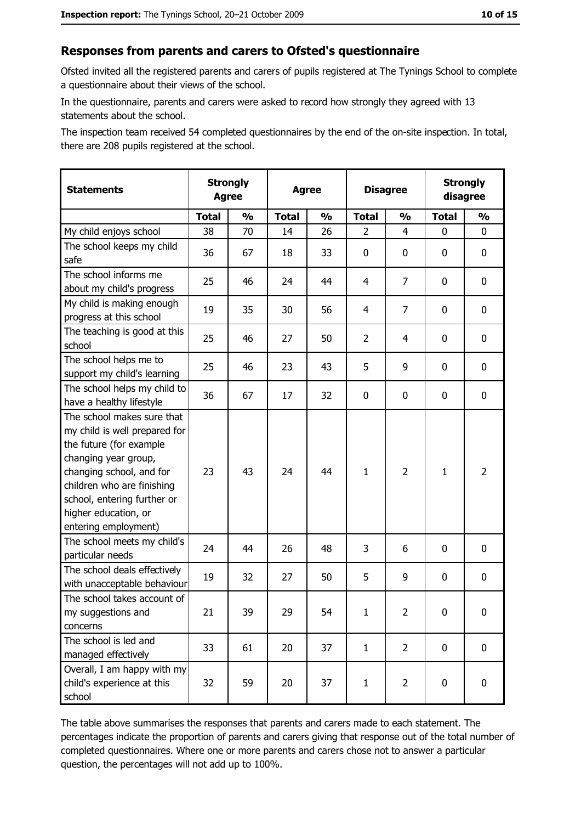## Responses from parents and carers to Ofsted's questionnaire

Ofsted invited all the registered parents and carers of pupils registered at The Tynings School to complete a questionnaire about their views of the school.

In the questionnaire, parents and carers were asked to record how strongly they agreed with 13 statements about the school.

The inspection team received 54 completed questionnaires by the end of the on-site inspection. In total, there are 208 pupils registered at the school.

| <b>Statements</b>                                                                                                                                                                                                                                       | <b>Strongly</b><br><b>Agree</b> |               | <b>Agree</b> |               | <b>Disagree</b> |                | <b>Strongly</b><br>disagree |                |
|---------------------------------------------------------------------------------------------------------------------------------------------------------------------------------------------------------------------------------------------------------|---------------------------------|---------------|--------------|---------------|-----------------|----------------|-----------------------------|----------------|
|                                                                                                                                                                                                                                                         | <b>Total</b>                    | $\frac{1}{2}$ | <b>Total</b> | $\frac{0}{0}$ | <b>Total</b>    | $\frac{0}{0}$  | <b>Total</b>                | $\frac{1}{2}$  |
| My child enjoys school                                                                                                                                                                                                                                  | 38                              | 70            | 14           | 26            | 2               | 4              | 0                           | 0              |
| The school keeps my child<br>safe                                                                                                                                                                                                                       | 36                              | 67            | 18           | 33            | $\mathbf 0$     | 0              | 0                           | 0              |
| The school informs me<br>about my child's progress                                                                                                                                                                                                      | 25                              | 46            | 24           | 44            | $\overline{4}$  | 7              | 0                           | 0              |
| My child is making enough<br>progress at this school                                                                                                                                                                                                    | 19                              | 35            | 30           | 56            | 4               | 7              | 0                           | 0              |
| The teaching is good at this<br>school                                                                                                                                                                                                                  | 25                              | 46            | 27           | 50            | $\overline{2}$  | 4              | $\mathbf{0}$                | 0              |
| The school helps me to<br>support my child's learning                                                                                                                                                                                                   | 25                              | 46            | 23           | 43            | 5               | 9              | 0                           | 0              |
| The school helps my child to<br>have a healthy lifestyle                                                                                                                                                                                                | 36                              | 67            | 17           | 32            | $\mathbf 0$     | 0              | 0                           | 0              |
| The school makes sure that<br>my child is well prepared for<br>the future (for example<br>changing year group,<br>changing school, and for<br>children who are finishing<br>school, entering further or<br>higher education, or<br>entering employment) | 23                              | 43            | 24           | 44            | $\mathbf{1}$    | $\overline{2}$ | 1                           | $\overline{2}$ |
| The school meets my child's<br>particular needs                                                                                                                                                                                                         | 24                              | 44            | 26           | 48            | 3               | 6              | 0                           | 0              |
| The school deals effectively<br>with unacceptable behaviour                                                                                                                                                                                             | 19                              | 32            | 27           | 50            | 5               | 9              | 0                           | 0              |
| The school takes account of<br>my suggestions and<br>concerns                                                                                                                                                                                           | 21                              | 39            | 29           | 54            | $\mathbf 1$     | 2              | 0                           | 0              |
| The school is led and<br>managed effectively                                                                                                                                                                                                            | 33                              | 61            | 20           | 37            | $\mathbf{1}$    | $\overline{2}$ | 0                           | $\mathbf 0$    |
| Overall, I am happy with my<br>child's experience at this<br>school                                                                                                                                                                                     | 32                              | 59            | 20           | 37            | $\mathbf{1}$    | $\overline{2}$ | 0                           | 0              |

The table above summarises the responses that parents and carers made to each statement. The percentages indicate the proportion of parents and carers giving that response out of the total number of completed questionnaires. Where one or more parents and carers chose not to answer a particular question, the percentages will not add up to 100%.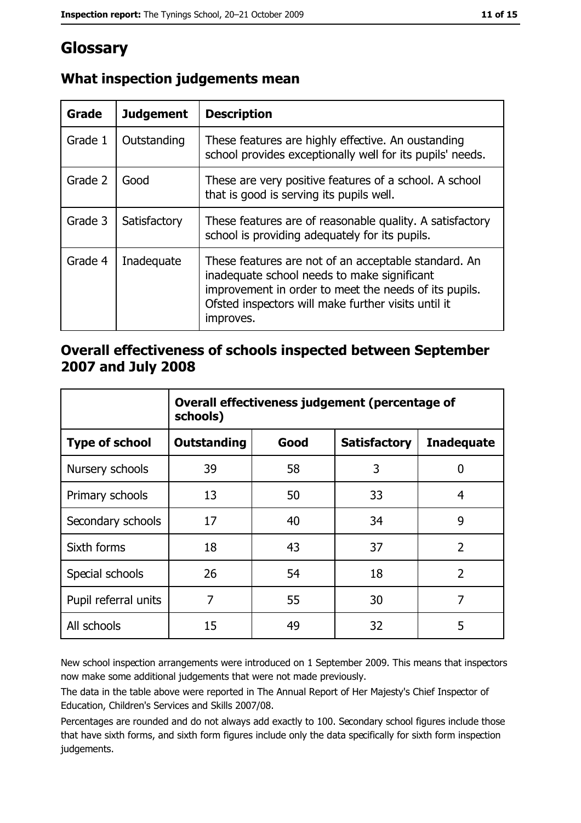# Glossary

| Grade   | <b>Judgement</b> | <b>Description</b>                                                                                                                                                                                                               |  |
|---------|------------------|----------------------------------------------------------------------------------------------------------------------------------------------------------------------------------------------------------------------------------|--|
| Grade 1 | Outstanding      | These features are highly effective. An oustanding<br>school provides exceptionally well for its pupils' needs.                                                                                                                  |  |
| Grade 2 | Good             | These are very positive features of a school. A school<br>that is good is serving its pupils well.                                                                                                                               |  |
| Grade 3 | Satisfactory     | These features are of reasonable quality. A satisfactory<br>school is providing adequately for its pupils.                                                                                                                       |  |
| Grade 4 | Inadequate       | These features are not of an acceptable standard. An<br>inadequate school needs to make significant<br>improvement in order to meet the needs of its pupils.<br>Ofsted inspectors will make further visits until it<br>improves. |  |

## What inspection judgements mean

## Overall effectiveness of schools inspected between September 2007 and July 2008

|                       | Overall effectiveness judgement (percentage of<br>schools) |      |                     |                   |
|-----------------------|------------------------------------------------------------|------|---------------------|-------------------|
| <b>Type of school</b> | <b>Outstanding</b>                                         | Good | <b>Satisfactory</b> | <b>Inadequate</b> |
| Nursery schools       | 39                                                         | 58   | 3                   | 0                 |
| Primary schools       | 13                                                         | 50   | 33                  | 4                 |
| Secondary schools     | 17                                                         | 40   | 34                  | 9                 |
| Sixth forms           | 18                                                         | 43   | 37                  | $\overline{2}$    |
| Special schools       | 26                                                         | 54   | 18                  | $\overline{2}$    |
| Pupil referral units  | 7                                                          | 55   | 30                  | 7                 |
| All schools           | 15                                                         | 49   | 32                  | 5                 |

New school inspection arrangements were introduced on 1 September 2009. This means that inspectors now make some additional judgements that were not made previously.

The data in the table above were reported in The Annual Report of Her Majesty's Chief Inspector of Education, Children's Services and Skills 2007/08.

Percentages are rounded and do not always add exactly to 100. Secondary school figures include those that have sixth forms, and sixth form figures include only the data specifically for sixth form inspection judgements.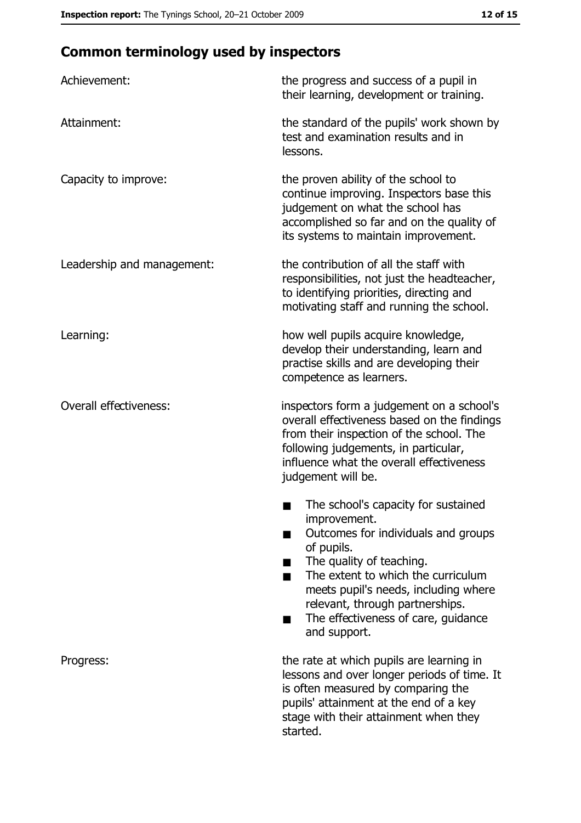# **Common terminology used by inspectors**

| Achievement:                  | the progress and success of a pupil in<br>their learning, development or training.                                                                                                                                                                                                                           |
|-------------------------------|--------------------------------------------------------------------------------------------------------------------------------------------------------------------------------------------------------------------------------------------------------------------------------------------------------------|
| Attainment:                   | the standard of the pupils' work shown by<br>test and examination results and in<br>lessons.                                                                                                                                                                                                                 |
| Capacity to improve:          | the proven ability of the school to<br>continue improving. Inspectors base this<br>judgement on what the school has<br>accomplished so far and on the quality of<br>its systems to maintain improvement.                                                                                                     |
| Leadership and management:    | the contribution of all the staff with<br>responsibilities, not just the headteacher,<br>to identifying priorities, directing and<br>motivating staff and running the school.                                                                                                                                |
| Learning:                     | how well pupils acquire knowledge,<br>develop their understanding, learn and<br>practise skills and are developing their<br>competence as learners.                                                                                                                                                          |
| <b>Overall effectiveness:</b> | inspectors form a judgement on a school's<br>overall effectiveness based on the findings<br>from their inspection of the school. The<br>following judgements, in particular,<br>influence what the overall effectiveness<br>judgement will be.                                                               |
|                               | The school's capacity for sustained<br>improvement.<br>Outcomes for individuals and groups<br>of pupils.<br>The quality of teaching.<br>The extent to which the curriculum<br>meets pupil's needs, including where<br>relevant, through partnerships.<br>The effectiveness of care, guidance<br>and support. |
| Progress:                     | the rate at which pupils are learning in<br>lessons and over longer periods of time. It<br>is often measured by comparing the<br>pupils' attainment at the end of a key<br>stage with their attainment when they<br>started.                                                                                 |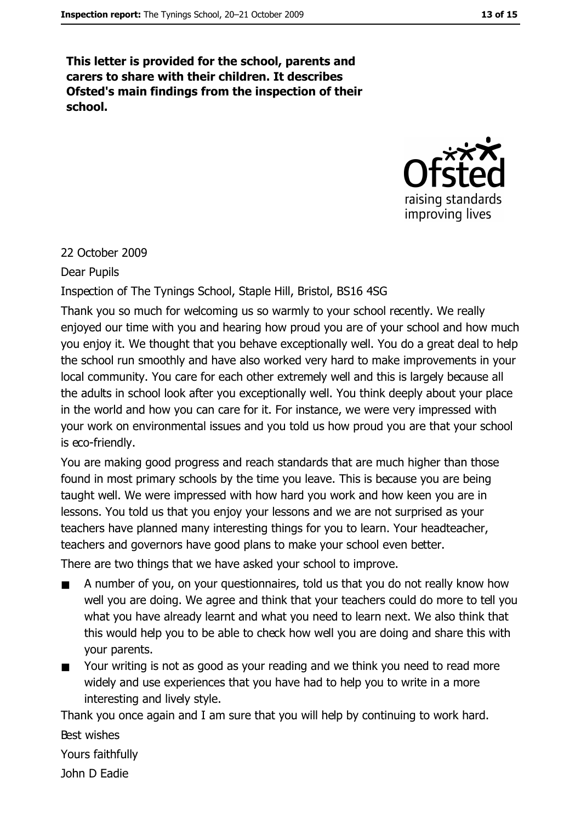This letter is provided for the school, parents and carers to share with their children. It describes Ofsted's main findings from the inspection of their school.



#### 22 October 2009

**Dear Pupils** 

Inspection of The Tynings School, Staple Hill, Bristol, BS16 4SG

Thank you so much for welcoming us so warmly to your school recently. We really enjoyed our time with you and hearing how proud you are of your school and how much you enjoy it. We thought that you behave exceptionally well. You do a great deal to help the school run smoothly and have also worked very hard to make improvements in your local community. You care for each other extremely well and this is largely because all the adults in school look after you exceptionally well. You think deeply about your place in the world and how you can care for it. For instance, we were very impressed with your work on environmental issues and you told us how proud you are that your school is eco-friendly.

You are making good progress and reach standards that are much higher than those found in most primary schools by the time you leave. This is because you are being taught well. We were impressed with how hard you work and how keen you are in lessons. You told us that you enjoy your lessons and we are not surprised as your teachers have planned many interesting things for you to learn. Your headteacher, teachers and governors have good plans to make your school even better.

There are two things that we have asked your school to improve.

- A number of you, on your questionnaires, told us that you do not really know how well you are doing. We agree and think that your teachers could do more to tell you what you have already learnt and what you need to learn next. We also think that this would help you to be able to check how well you are doing and share this with your parents.
- Your writing is not as good as your reading and we think you need to read more  $\blacksquare$ widely and use experiences that you have had to help you to write in a more interesting and lively style.

Thank you once again and I am sure that you will help by continuing to work hard. Best wishes

Yours faithfully

John D Eadie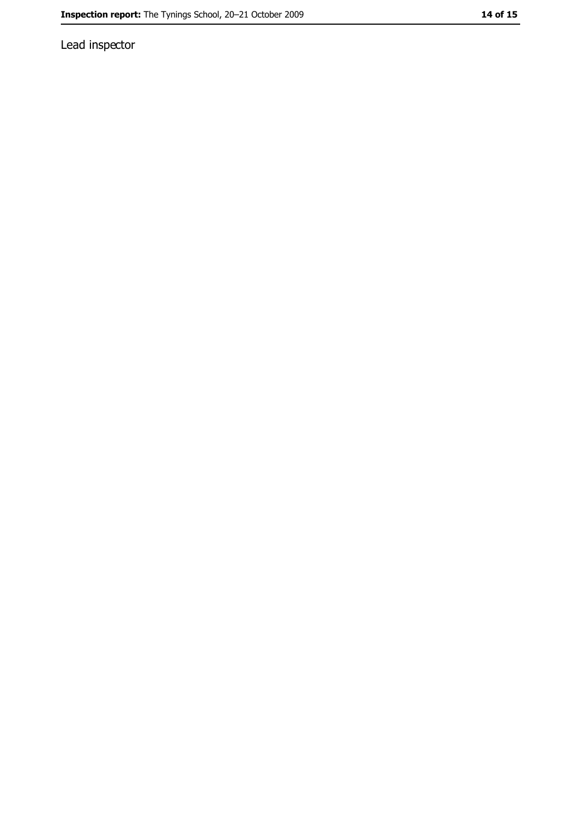Lead inspector